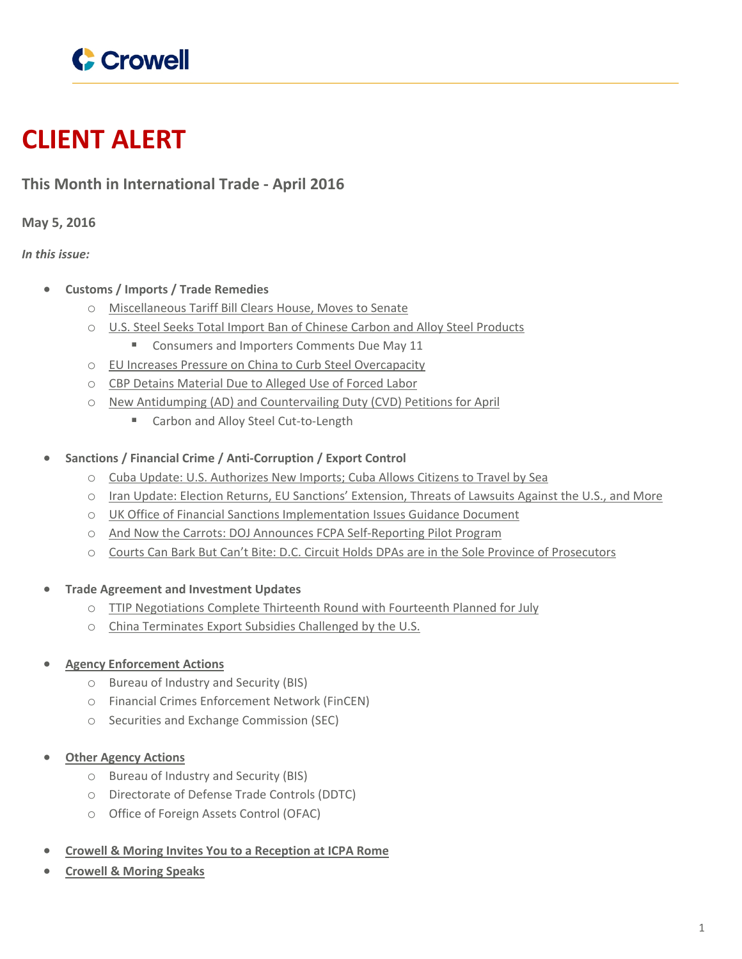

# **CLIENT ALERT**

# **This Month in International Trade - April 2016**

**May 5, 2016**

# *In this issue:*

- **Customs / Imports / Trade Remedies**
	- o [Miscellaneous](#page-1-0) Tariff Bill Clears House, Moves to Senate
	- o U.S. Steel Seeks Total Import Ban of Chinese Carbon and Alloy Steel [Products](#page-1-1)
		- Consumers and Importers Comments Due May 11
	- o EU Increases Pressure on China to Curb Steel [Overcapacity](#page-2-0)
	- o CBP Detains [Material](#page-3-0) Due to Alleged Use of Forced Labor
	- o New Antidumping (AD) and [Countervailing](#page-4-0) Duty (CVD) Petitions for April
		- Carbon and Alloy Steel Cut-to-Length
- **Sanctions / Financial Crime / Anti-Corruption / Export Control**
	- o Cuba Update: U.S. [Authorizes](#page-4-1) New Imports; Cuba Allows Citizens to Travel by Sea
	- o Iran Update: Election Returns, EU Sanctions' [Extension,](#page-5-0) Threats of Lawsuits Against the U.S., and More
	- o UK Office of Financial Sanctions [Implementation](#page-6-0) Issues Guidance Document
	- o And Now the Carrots: DOJ Announces FCPA [Self-Reporting](#page-7-0) Pilot Program
	- o Courts Can Bark But Can't Bite: D.C. Circuit Holds DPAs are in the Sole Province of [Prosecutors](#page-7-1)

# **Trade Agreement and Investment Updates**

- o TTIP [Negotiations](#page-8-0) Complete Thirteenth Round with Fourteenth Planned for July
- o China [Terminates](#page-8-1) Export Subsidies Challenged by the U.S.

#### **Agency [Enforcement](#page-9-0) Actions**

- o Bureau of Industry and Security (BIS)
- o Financial Crimes Enforcement Network (FinCEN)
- o Securities and Exchange Commission (SEC)
- **Other Agency [Actions](#page-9-1)**
	- o Bureau of Industry and Security (BIS)
	- o Directorate of Defense Trade Controls (DDTC)
	- o Office of Foreign Assets Control (OFAC)
- **Crowell & Moring Invites You to a [Reception](#page-10-0) at ICPA Rome**
- **[Crowell](#page-11-0) & Moring Speaks**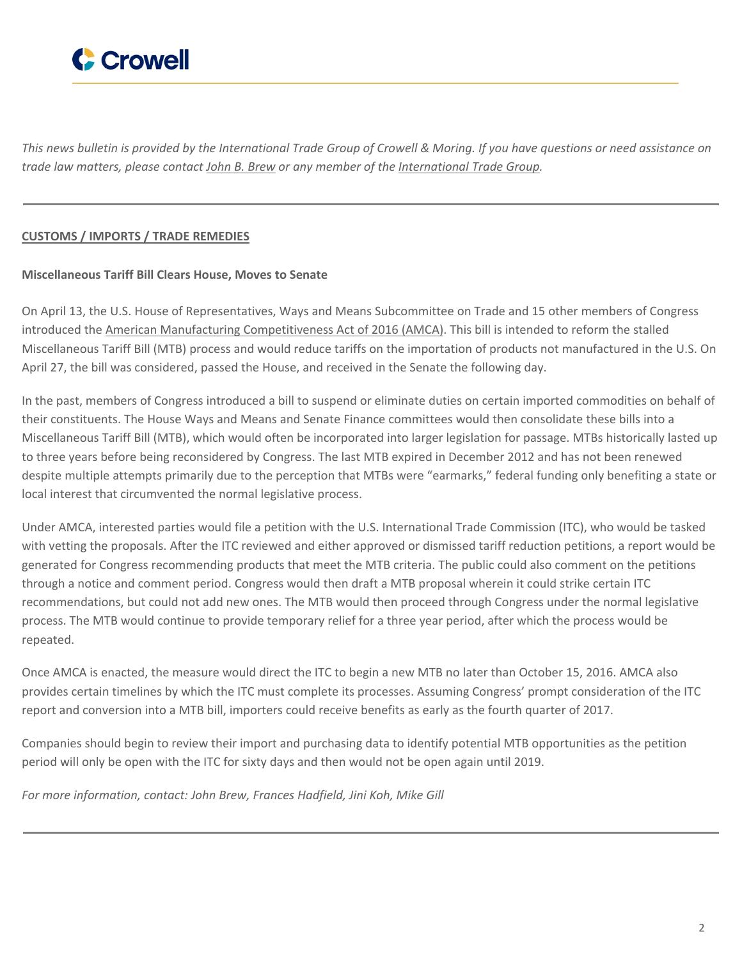

This news bulletin is provided by the International Trade Group of Crowell & Moring. If you have questions or need assistance on *trade law matters, please contact John B. [Brew](http://www.crowell.com/Professionals/John-Brew) or any member of the [International](http://www.crowell.com/professionals/search?firstname=&lastname=&office=&practice=8712&industry=) Trade Group.*

# <span id="page-1-0"></span>**CUSTOMS / IMPORTS / TRADE REMEDIES**

#### **Miscellaneous Tariff Bill Clears House, Moves to Senate**

On April 13, the U.S. House of Representatives, Ways and Means Subcommittee on Trade and 15 other members of Congress introduced the American Manufacturing [Competitiveness](https://www.congress.gov/bill/114th-congress/house-bill/4923?q=%7B%22search%22%3A%5B%22manufacturing%22%5D%7D&resultIndex=3) Act of 2016 (AMCA). This bill is intended to reform the stalled Miscellaneous Tariff Bill (MTB) process and would reduce tariffs on the importation of products not manufactured in the U.S. On April 27, the bill was considered, passed the House, and received in the Senate the following day.

In the past, members of Congress introduced a bill to suspend or eliminate duties on certain imported commodities on behalf of their constituents. The House Ways and Means and Senate Finance committees would then consolidate these bills into a Miscellaneous Tariff Bill (MTB), which would often be incorporated into larger legislation for passage. MTBs historically lasted up to three years before being reconsidered by Congress. The last MTB expired in December 2012 and has not been renewed despite multiple attempts primarily due to the perception that MTBs were "earmarks," federal funding only benefiting a state or local interest that circumvented the normal legislative process.

Under AMCA, interested parties would file a petition with the U.S. International Trade Commission (ITC), who would be tasked with vetting the proposals. After the ITC reviewed and either approved or dismissed tariff reduction petitions, a report would be generated for Congress recommending products that meet the MTB criteria. The public could also comment on the petitions through a notice and comment period. Congress would then draft a MTB proposal wherein it could strike certain ITC recommendations, but could not add new ones. The MTB would then proceed through Congress under the normal legislative process. The MTB would continue to provide temporary relief for a three year period, after which the process would be repeated.

Once AMCA is enacted, the measure would direct the ITC to begin a new MTB no later than October 15, 2016. AMCA also provides certain timelines by which the ITC must complete its processes. Assuming Congress' prompt consideration of the ITC report and conversion into a MTB bill, importers could receive benefits as early as the fourth quarter of 2017.

Companies should begin to review their import and purchasing data to identify potential MTB opportunities as the petition period will only be open with the ITC for sixty days and then would not be open again until 2019.

<span id="page-1-1"></span>*For more information, contact: John Brew, Frances Hadfield, Jini Koh, Mike Gill*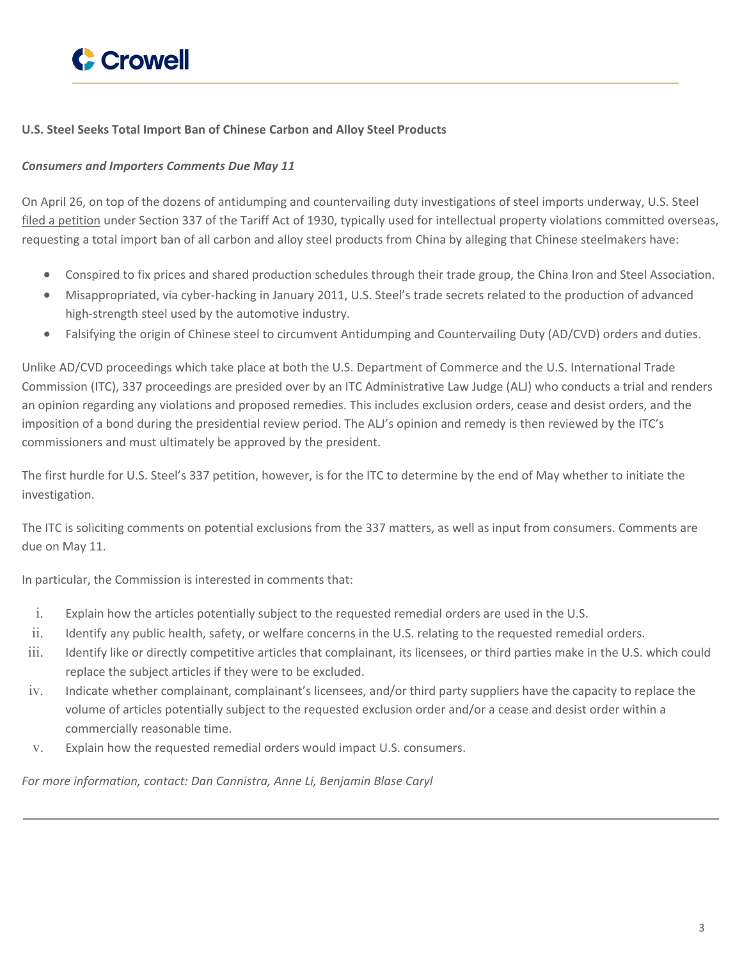

# **U.S. Steel Seeks Total Import Ban of Chinese Carbon and Alloy Steel Products**

# *Consumers and Importers Comments Due May 11*

On April 26, on top of the dozens of antidumping and countervailing duty investigations of steel imports underway, U.S. Steel filed a [petition](https://www.crowell.com/files/20160426-US-Steel-Complaint-Under-Section-337-of-Tariff-Act-of-1930.pdf) under Section 337 of the Tariff Act of 1930, typically used for intellectual property violations committed overseas, requesting a total import ban of all carbon and alloy steel products from China by alleging that Chinese steelmakers have:

- Conspired to fix prices and shared production schedules through their trade group, the China Iron and Steel Association.
- Misappropriated, via cyber-hacking in January 2011, U.S. Steel's trade secrets related to the production of advanced high-strength steel used by the automotive industry.
- Falsifying the origin of Chinese steel to circumvent Antidumping and Countervailing Duty (AD/CVD) orders and duties.

Unlike AD/CVD proceedings which take place at both the U.S. Department of Commerce and the U.S. International Trade Commission (ITC), 337 proceedings are presided over by an ITC Administrative Law Judge (ALJ) who conducts a trial and renders an opinion regarding any violations and proposed remedies. This includes exclusion orders, cease and desist orders, and the imposition of a bond during the presidential review period. The ALI's opinion and remedy is then reviewed by the ITC's commissioners and must ultimately be approved by the president.

The first hurdle for U.S. Steel's 337 petition, however, is for the ITC to determine by the end of May whether to initiate the investigation.

The ITC is soliciting comments on potential exclusions from the 337 matters, as well as input from consumers. Comments are due on May 11.

In particular, the Commission is interested in comments that:

- i. Explain how the articles potentially subject to the requested remedial orders are used in the U.S.
- ii. Identify any public health, safety, or welfare concerns in the U.S. relating to the requested remedial orders.
- iii. Identify like or directly competitive articles that complainant, its licensees, or third parties make in the U.S. which could replace the subject articles if they were to be excluded.
- iv. Indicate whether complainant, complainant's licensees, and/or third party suppliers have the capacity to replace the volume of articles potentially subject to the requested exclusion order and/or a cease and desist order within a commercially reasonable time.
- <span id="page-2-0"></span>v. Explain how the requested remedial orders would impact U.S. consumers.

*For more information, contact: Dan Cannistra, Anne Li, Benjamin Blase Caryl*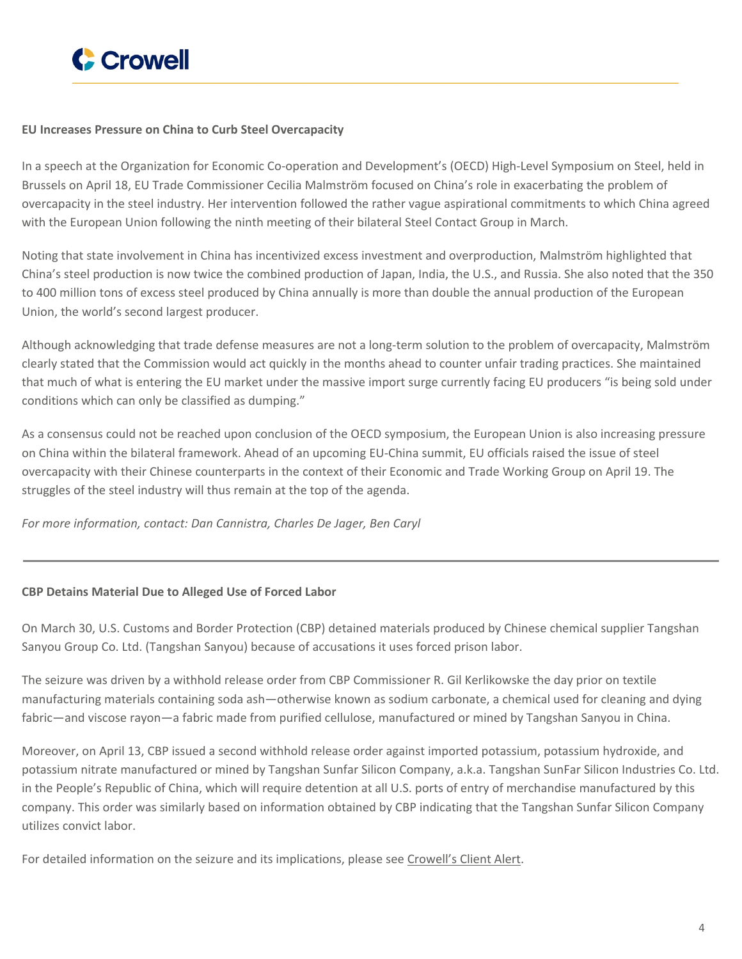

#### **EU Increases Pressure on China to Curb Steel Overcapacity**

In a speech at the Organization for Economic Co-operation and Development's (OECD) High-Level Symposium on Steel, held in Brussels on April 18, EU Trade Commissioner Cecilia Malmström focused on China's role in exacerbating the problem of overcapacity in the steel industry. Her intervention followed the rather vague aspirational commitments to which China agreed with the European Union following the ninth meeting of their bilateral Steel Contact Group in March.

Noting that state involvement in China has incentivized excess investment and overproduction, Malmström highlighted that China's steel production is now twice the combined production of Japan, India, the U.S., and Russia. She also noted that the 350 to 400 million tons of excess steel produced by China annually is more than double the annual production of the European Union, the world's second largest producer.

Although acknowledging that trade defense measures are not a long-term solution to the problem of overcapacity, Malmström clearly stated that the Commission would act quickly in the months ahead to counter unfair trading practices. She maintained that much of what is entering the EU market under the massive import surge currently facing EU producers "is being sold under conditions which can only be classified as dumping."

As a consensus could not be reached upon conclusion of the OECD symposium, the European Union is also increasing pressure on China within the bilateral framework. Ahead of an upcoming EU-China summit, EU officials raised the issue of steel overcapacity with their Chinese counterparts in the context of their Economic and Trade Working Group on April 19. The struggles of the steel industry will thus remain at the top of the agenda.

<span id="page-3-0"></span>*For more information, contact: Dan Cannistra, Charles De Jager, Ben Caryl*

#### **CBP Detains Material Due to Alleged Use of Forced Labor**

On March 30, U.S. Customs and Border Protection (CBP) detained materials produced by Chinese chemical supplier Tangshan Sanyou Group Co. Ltd. (Tangshan Sanyou) because of accusations it uses forced prison labor.

The seizure was driven by a withhold release order from CBP Commissioner R. Gil Kerlikowske the day prior on textile manufacturing materials containing soda ash—otherwise known as sodium carbonate, a chemical used for cleaning and dying fabric—and viscose rayon—a fabric made from purified cellulose, manufactured or mined by Tangshan Sanyou in China.

Moreover, on April 13, CBP issued a second withhold release order against imported potassium, potassium hydroxide, and potassium nitrate manufactured or mined by Tangshan Sunfar Silicon Company, a.k.a. Tangshan SunFar Silicon Industries Co. Ltd. in the People's Republic of China, which will require detention at all U.S. ports of entry of merchandise manufactured by this company. This order was similarly based on information obtained by CBP indicating that the Tangshan Sunfar Silicon Company utilizes convict labor.

For detailed information on the seizure and its implications, please see [Crowell's](https://www.crowell.com/NewsEvents/AlertsNewsletters/all/CBP-Detains-Materials-Due-to-Alleged-Use-of-Forced-Labor) Client Alert.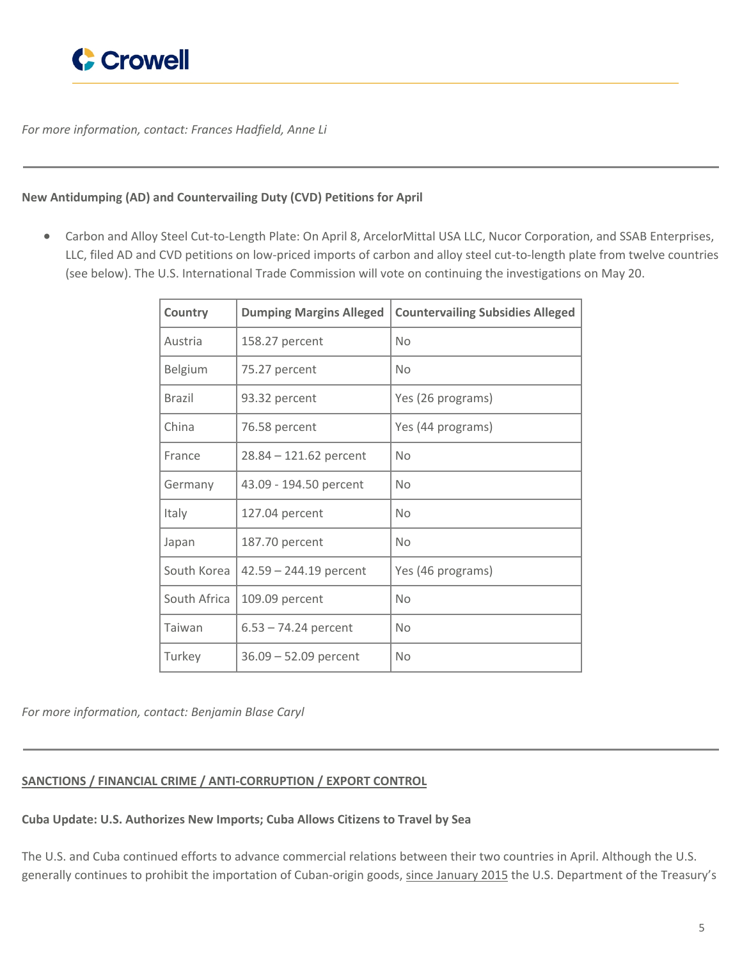

*For more information, contact: Frances Hadfield, Anne Li*

#### **New Antidumping (AD) and Countervailing Duty (CVD) Petitions for April**

 Carbon and Alloy Steel Cut-to-Length Plate: On April 8, ArcelorMittal USA LLC, Nucor Corporation, and SSAB Enterprises, LLC, filed AD and CVD petitions on low-priced imports of carbon and alloy steel cut-to-length plate from twelve countries (see below). The U.S. International Trade Commission will vote on continuing the investigations on May 20.

<span id="page-4-0"></span>

| Country       | <b>Dumping Margins Alleged</b> | <b>Countervailing Subsidies Alleged</b> |
|---------------|--------------------------------|-----------------------------------------|
| Austria       | 158.27 percent                 | <b>No</b>                               |
| Belgium       | 75.27 percent                  | No                                      |
| <b>Brazil</b> | 93.32 percent                  | Yes (26 programs)                       |
| China         | 76.58 percent                  | Yes (44 programs)                       |
| France        | $28.84 - 121.62$ percent       | No                                      |
| Germany       | 43.09 - 194.50 percent         | <b>No</b>                               |
| Italy         | 127.04 percent                 | N <sub>0</sub>                          |
| Japan         | 187.70 percent                 | <b>No</b>                               |
| South Korea   | $42.59 - 244.19$ percent       | Yes (46 programs)                       |
| South Africa  | 109.09 percent                 | N <sub>0</sub>                          |
| Taiwan        | $6.53 - 74.24$ percent         | <b>No</b>                               |
| Turkey        | 36.09 - 52.09 percent          | No.                                     |

*For more information, contact: Benjamin Blase Caryl*

# <span id="page-4-1"></span>**SANCTIONS / FINANCIAL CRIME / ANTI-CORRUPTION / EXPORT CONTROL**

# **Cuba Update: U.S. Authorizes New Imports; Cuba Allows Citizens to Travel by Sea**

The U.S. and Cuba continued efforts to advance commercial relations between their two countries in April. Although the U.S. generally continues to prohibit the importation of Cuban-origin goods, since [January](https://www.crowell.com/NewsEvents/AlertsNewsletters/all/Treasury-and-Commerce-Implement-New-US-Cuba-Policy) 2015 the U.S. Department of the Treasury's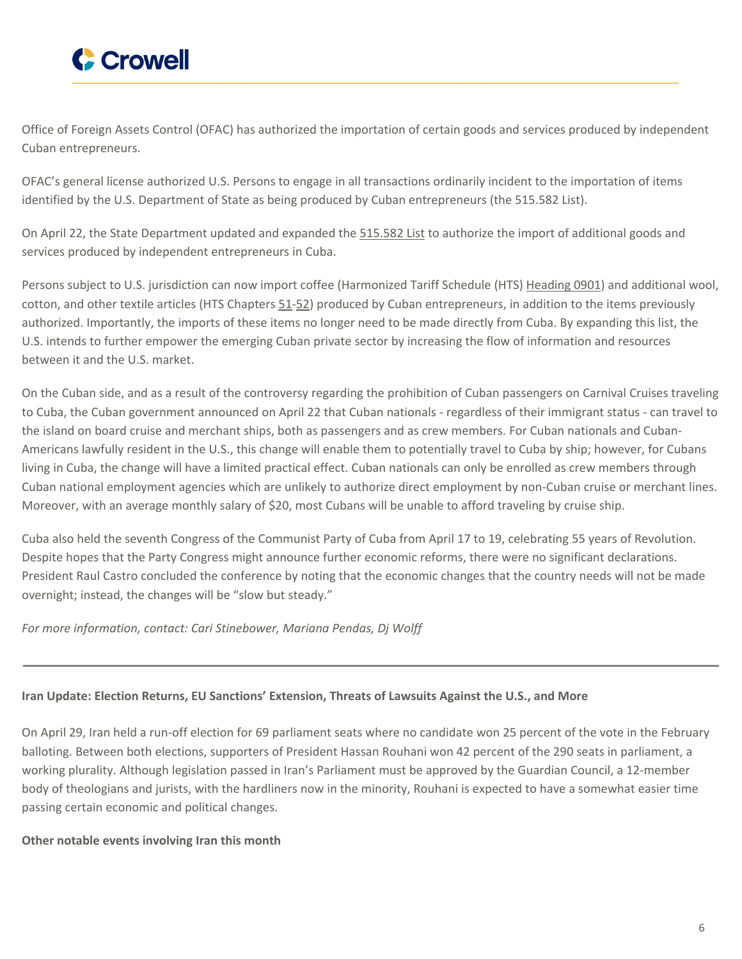

Office of Foreign Assets Control (OFAC) has authorized the importation of certain goods and services produced by independent Cuban entrepreneurs.

OFAC's general license authorized U.S. Persons to engage in all transactions ordinarily incident to the importation of items identified by the U.S. Department of State as being produced by Cuban entrepreneurs (the 515.582 List).

On April 22, the State Department updated and expanded the [515.582](http://www.state.gov/e/eb/tfs/spi/cuba/515582/237471.htm) List to authorize the import of additional goods and services produced by independent entrepreneurs in Cuba.

Persons subject to U.S. jurisdiction can now import coffee (Harmonized Tariff Schedule (HTS) [Heading](http://www.usitc.gov/publications/docs/tata/hts/bychapter/1501c09.pdf) 0901) and additional wool, cotton, and other textile articles (HTS Chapters [51](http://www.usitc.gov/publications/docs/tata/hts/bychapter/1501c51.pdf)[-52\)](http://www.usitc.gov/publications/docs/tata/hts/bychapter/1501c52.pdf) produced by Cuban entrepreneurs, in addition to the items previously authorized. Importantly, the imports of these items no longer need to be made directly from Cuba. By expanding this list, the U.S. intends to further empower the emerging Cuban private sector by increasing the flow of information and resources between it and the U.S. market.

On the Cuban side, and as a result of the controversy regarding the prohibition of Cuban passengers on Carnival Cruises traveling to Cuba, the Cuban government announced on April 22 that Cuban nationals - regardless of their immigrant status - can travel to the island on board cruise and merchant ships, both as passengers and as crew members. For Cuban nationals and Cuban-Americans lawfully resident in the U.S., this change will enable them to potentially travel to Cuba by ship; however, for Cubans living in Cuba, the change will have a limited practical effect. Cuban nationals can only be enrolled as crew members through Cuban national employment agencies which are unlikely to authorize direct employment by non-Cuban cruise or merchant lines. Moreover, with an average monthly salary of \$20, most Cubans will be unable to afford traveling by cruise ship.

Cuba also held the seventh Congress of the Communist Party of Cuba from April 17 to 19, celebrating 55 years of Revolution. Despite hopes that the Party Congress might announce further economic reforms, there were no significant declarations. President Raul Castro concluded the conference by noting that the economic changes that the country needs will not be made overnight; instead, the changes will be "slow but steady."

<span id="page-5-0"></span>*For more information, contact: Cari Stinebower, Mariana Pendas, Dj Wolff*

#### **Iran Update: Election Returns, EU Sanctions' Extension, Threats of Lawsuits Against the U.S., and More**

On April 29, Iran held a run-off election for 69 parliament seats where no candidate won 25 percent of the vote in the February balloting. Between both elections, supporters of President Hassan Rouhani won 42 percent of the 290 seats in parliament, a working plurality. Although legislation passed in Iran's Parliament must be approved by the Guardian Council, a 12-member body of theologians and jurists, with the hardliners now in the minority, Rouhani is expected to have a somewhat easier time passing certain economic and political changes.

#### **Other notable events involving Iran this month**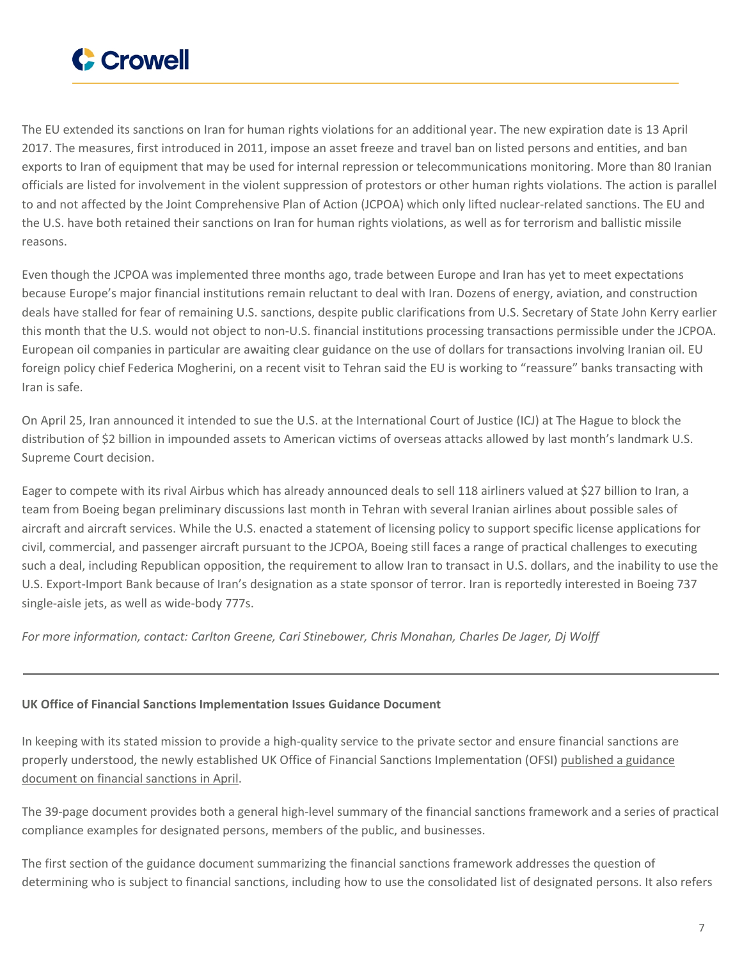

The EU extended its sanctions on Iran for human rights violations for an additional year. The new expiration date is 13 April 2017. The measures, first introduced in 2011, impose an asset freeze and travel ban on listed persons and entities, and ban exports to Iran of equipment that may be used for internal repression or telecommunications monitoring. More than 80 Iranian officials are listed for involvement in the violent suppression of protestors or other human rights violations. The action is parallel to and not affected by the Joint Comprehensive Plan of Action (JCPOA) which only lifted nuclear-related sanctions. The EU and the U.S. have both retained their sanctions on Iran for human rights violations, as well as for terrorism and ballistic missile reasons.

Even though the JCPOA was implemented three months ago, trade between Europe and Iran has yet to meet expectations because Europe's major financial institutions remain reluctant to deal with Iran. Dozens of energy, aviation, and construction deals have stalled for fear of remaining U.S. sanctions, despite public clarifications from U.S. Secretary of State John Kerry earlier this month that the U.S. would not object to non-U.S. financial institutions processing transactions permissible under the JCPOA. European oil companies in particular are awaiting clear guidance on the use of dollars for transactions involving Iranian oil. EU foreign policy chief Federica Mogherini, on a recent visit to Tehran said the EU is working to "reassure" banks transacting with Iran is safe.

On April 25, Iran announced it intended to sue the U.S. at the International Court of Justice (ICJ) at The Hague to block the distribution of \$2 billion in impounded assets to American victims of overseas attacks allowed by last month's landmark U.S. Supreme Court decision.

Eager to compete with its rival Airbus which has already announced deals to sell 118 airliners valued at \$27 billion to Iran, a team from Boeing began preliminary discussions last month in Tehran with several Iranian airlines about possible sales of aircraft and aircraft services. While the U.S. enacted a statement of licensing policy to support specific license applications for civil, commercial, and passenger aircraft pursuant to the JCPOA, Boeing still faces a range of practical challenges to executing such a deal, including Republican opposition, the requirement to allow Iran to transact in U.S. dollars, and the inability to use the U.S. Export-Import Bank because of Iran's designation as a state sponsor of terror. Iran is reportedly interested in Boeing 737 single-aisle jets, as well as wide-body 777s.

<span id="page-6-0"></span>*For more information, contact: Carlton Greene, Cari Stinebower, Chris Monahan, Charles De Jager, Dj Wolff*

#### **UK Office of Financial Sanctions Implementation Issues Guidance Document**

In keeping with its stated mission to provide a high-quality service to the private sector and ensure financial sanctions are properly understood, the newly established UK Office of Financial Sanctions Implementation (OFSI) [published](https://www.gov.uk/government/publications/financial-sanctions-faqs) a guidance [document](https://www.gov.uk/government/publications/financial-sanctions-faqs) on financial sanctions in April.

The 39-page document provides both a general high-level summary of the financial sanctions framework and a series of practical compliance examples for designated persons, members of the public, and businesses.

The first section of the guidance document summarizing the financial sanctions framework addresses the question of determining who is subject to financial sanctions, including how to use the consolidated list of designated persons. It also refers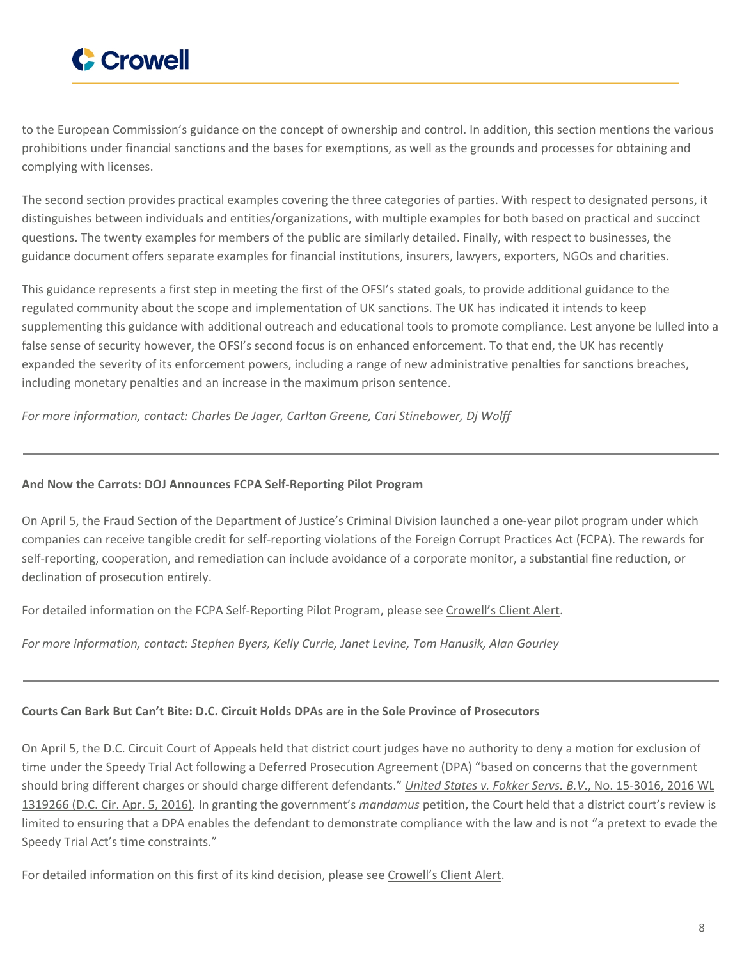

to the European Commission's guidance on the concept of ownership and control. In addition, this section mentions the various prohibitions under financial sanctions and the bases for exemptions, as well as the grounds and processes for obtaining and complying with licenses.

The second section provides practical examples covering the three categories of parties. With respect to designated persons, it distinguishes between individuals and entities/organizations, with multiple examples for both based on practical and succinct questions. The twenty examples for members of the public are similarly detailed. Finally, with respect to businesses, the guidance document offers separate examples for financial institutions, insurers, lawyers, exporters, NGOs and charities.

This guidance represents a first step in meeting the first of the OFSI's stated goals, to provide additional guidance to the regulated community about the scope and implementation of UK sanctions. The UK has indicated it intends to keep supplementing this guidance with additional outreach and educational tools to promote compliance. Lest anyone be lulled into a false sense of security however, the OFSI's second focus is on enhanced enforcement. To that end, the UK has recently expanded the severity of its enforcement powers, including a range of new administrative penalties for sanctions breaches, including monetary penalties and an increase in the maximum prison sentence.

<span id="page-7-0"></span>*For more information, contact: Charles De Jager, Carlton Greene, Cari Stinebower, Dj Wolff*

#### **And Now the Carrots: DOJ Announces FCPA Self-Reporting Pilot Program**

On April 5, the Fraud Section of the Department of Justice's Criminal Division launched a one-year pilot program under which companies can receive tangible credit for self-reporting violations of the Foreign Corrupt Practices Act (FCPA). The rewards for self-reporting, cooperation, and remediation can include avoidance of a corporate monitor, a substantial fine reduction, or declination of prosecution entirely.

For detailed information on the FCPA Self-Reporting Pilot Program, please see [Crowell's](https://www.crowell.com/NewsEvents/AlertsNewsletters/all/And-Now-the-Carrots-DOJ-Announces-FCPA-Self-Reporting-Pilot-Program) Client Alert.

<span id="page-7-1"></span>*For more information, contact: Stephen Byers, Kelly Currie, Janet Levine, Tom Hanusik, Alan Gourley*

#### **Courts Can Bark But Can't Bite: D.C. Circuit Holds DPAs are in the Sole Province of Prosecutors**

On April 5, the D.C. Circuit Court of Appeals held that district court judges have no authority to deny a motion for exclusion of time under the Speedy Trial Act following a Deferred Prosecution Agreement (DPA) "based on concerns that the government should bring different charges or should charge different defendants." *United States v. Fokker Servs. B.V*., No. [15-3016,](https://www.crowell.com/files/20160405-US-v-Fokker-Services.pdf) 2016 WL [1319266](https://www.crowell.com/files/20160405-US-v-Fokker-Services.pdf) (D.C. Cir. Apr. 5, 2016). In granting the government's *mandamus* petition, the Court held that a district court's review is limited to ensuring that a DPA enables the defendant to demonstrate compliance with the law and is not "a pretext to evade the Speedy Trial Act's time constraints."

For detailed information on this first of its kind decision, please see [Crowell's](https://www.crowell.com/NewsEvents/AlertsNewsletters/all/Courts-Can-Bark-But-Cant-Bite-DC-Circuit-Holds-DPAs-are-in-the-Sole-Province-of-Prosecutors) Client Alert.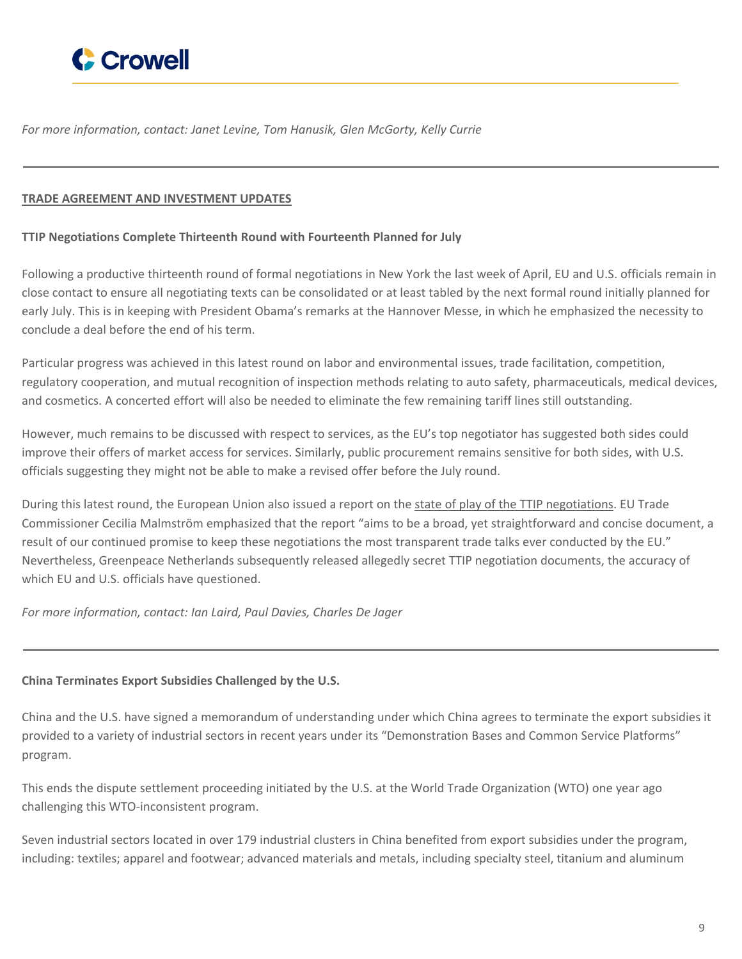<span id="page-8-0"></span>

*For more information, contact: Janet Levine, Tom Hanusik, Glen McGorty, Kelly Currie*

#### **TRADE AGREEMENT AND INVESTMENT UPDATES**

#### **TTIP Negotiations Complete Thirteenth Round with Fourteenth Planned for July**

Following a productive thirteenth round of formal negotiations in New York the last week of April, EU and U.S. officials remain in close contact to ensure all negotiating texts can be consolidated or at least tabled by the next formal round initially planned for early July. This is in keeping with President Obama's remarks at the Hannover Messe, in which he emphasized the necessity to conclude a deal before the end of his term.

Particular progress was achieved in this latest round on labor and environmental issues, trade facilitation, competition, regulatory cooperation, and mutual recognition of inspection methods relating to auto safety, pharmaceuticals, medical devices, and cosmetics. A concerted effort will also be needed to eliminate the few remaining tariff lines still outstanding.

However, much remains to be discussed with respect to services, as the EU's top negotiator has suggested both sides could improve their offers of market access for services. Similarly, public procurement remains sensitive for both sides, with U.S. officials suggesting they might not be able to make a revised offer before the July round.

During this latest round, the European Union also issued a report on the state of play of the TTIP [negotiations](http://trade.ec.europa.eu/doclib/press/index.cfm?id=1488). EU Trade Commissioner Cecilia Malmström emphasized that the report "aims to be a broad, yet straightforward and concise document, a result of our continued promise to keep these negotiations the most transparent trade talks ever conducted by the EU." Nevertheless, Greenpeace Netherlands subsequently released allegedly secret TTIP negotiation documents, the accuracy of which EU and U.S. officials have questioned.

<span id="page-8-1"></span>*For more information, contact: Ian Laird, Paul Davies, Charles De Jager*

#### **China Terminates Export Subsidies Challenged by the U.S.**

China and the U.S. have signed a memorandum of understanding under which China agrees to terminate the export subsidies it provided to a variety of industrial sectors in recent years under its "Demonstration Bases and Common Service Platforms" program.

This ends the dispute settlement proceeding initiated by the U.S. at the World Trade Organization (WTO) one year ago challenging this WTO-inconsistent program.

Seven industrial sectors located in over 179 industrial clusters in China benefited from export subsidies under the program, including: textiles; apparel and footwear; advanced materials and metals, including specialty steel, titanium and aluminum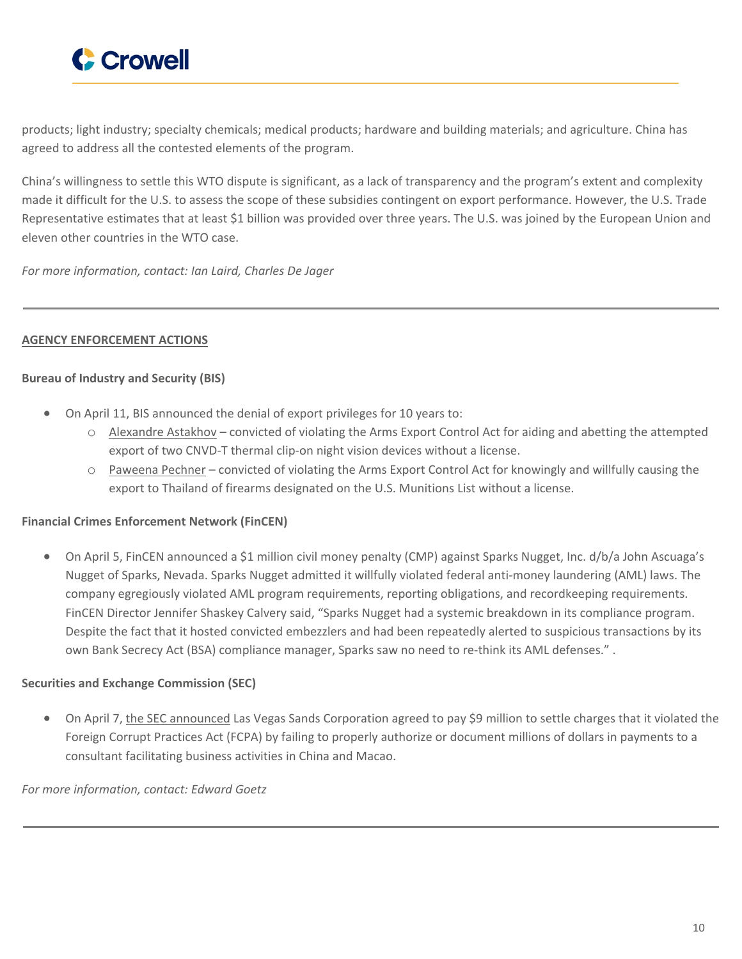

products; light industry; specialty chemicals; medical products; hardware and building materials; and agriculture. China has agreed to address all the contested elements of the program.

China's willingness to settle this WTO dispute is significant, as a lack of transparency and the program's extent and complexity made it difficult for the U.S. to assess the scope of these subsidies contingent on export performance. However, the U.S. Trade Representative estimates that at least \$1 billion was provided over three years. The U.S. was joined by the European Union and eleven other countries in the WTO case.

*For more information, contact: Ian Laird, Charles De Jager*

# **AGENCY ENFORCEMENT ACTIONS**

#### **Bureau of Industry and Security (BIS)**

- <span id="page-9-0"></span> On April 11, BIS announced the denial of export privileges for 10 years to:
	- o [Alexandre](http://efoia.bis.doc.gov/index.php/component/docman/doc_download/1054-e2455?Itemid=) Astakhov convicted of violating the Arms Export Control Act for aiding and abetting the attempted export of two CNVD-T thermal clip-on night vision devices without a license.
	- o [Paweena](http://efoia.bis.doc.gov/index.php/component/docman/doc_download/1053-e2454?Itemid=) Pechner convicted of violating the Arms Export Control Act for knowingly and willfully causing the export to Thailand of firearms designated on the U.S. Munitions List without a license.

#### **Financial Crimes Enforcement Network (FinCEN)**

 On April 5, FinCEN announced a \$1 million civil money penalty (CMP) against Sparks Nugget, Inc. d/b/a John Ascuaga's Nugget of Sparks, Nevada. Sparks Nugget admitted it willfully violated federal anti-money laundering (AML) laws. The company egregiously violated AML program requirements, reporting obligations, and recordkeeping requirements. FinCEN Director Jennifer Shaskey Calvery said, "Sparks Nugget had a systemic breakdown in its compliance program. Despite the fact that it hosted convicted embezzlers and had been repeatedly alerted to suspicious transactions by its own Bank Secrecy Act (BSA) compliance manager, Sparks saw no need to re-think its AML defenses." .

#### **Securities and Exchange Commission (SEC)**

<span id="page-9-1"></span>• On April 7, the SEC [announced](https://www.sec.gov/news/pressrelease/2016-64.html) Las Vegas Sands Corporation agreed to pay \$9 million to settle charges that it violated the Foreign Corrupt Practices Act (FCPA) by failing to properly authorize or document millions of dollars in payments to a consultant facilitating business activities in China and Macao.

*For more information, contact: Edward Goetz*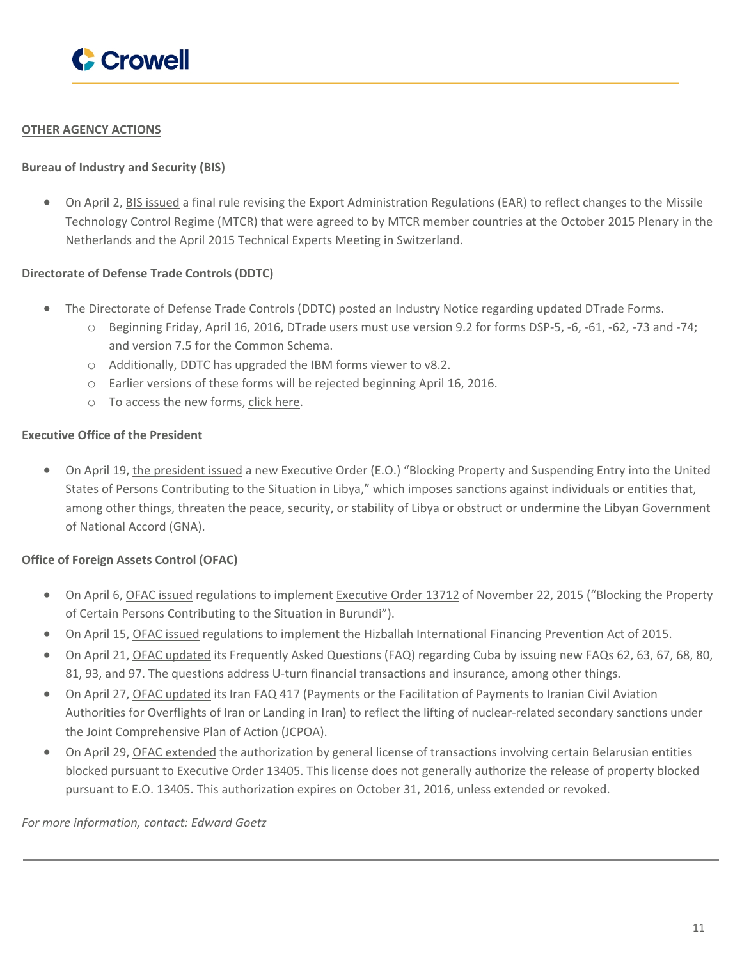

#### **OTHER AGENCY ACTIONS**

# **Bureau of Industry and Security (BIS)**

 On April 2, BIS [issued](http://www.bis.doc.gov/index.php/forms-documents/doc_download/1455-81-fr-19026-mtcr-final-rule) a final rule revising the Export Administration Regulations (EAR) to reflect changes to the Missile Technology Control Regime (MTCR) that were agreed to by MTCR member countries at the October 2015 Plenary in the Netherlands and the April 2015 Technical Experts Meeting in Switzerland.

#### **Directorate of Defense Trade Controls (DDTC)**

- The Directorate of Defense Trade Controls (DDTC) posted an Industry Notice regarding updated DTrade Forms.
	- o Beginning Friday, April 16, 2016, DTrade users must use version 9.2 for forms DSP-5, -6, -61, -62, -73 and -74; and version 7.5 for the Common Schema.
	- o Additionally, DDTC has upgraded the IBM forms viewer to v8.2.
	- o Earlier versions of these forms will be rejected beginning April 16, 2016.
	- o To access the new forms, click [here.](http://www.pmddtc.state.gov/form_updates.html)

#### **Executive Office of the President**

 On April 19, the [president](https://www.treasury.gov/resource-center/sanctions/Programs/Documents/libya_eo_20160419.pdf) issued a new Executive Order (E.O.) "Blocking Property and Suspending Entry into the United States of Persons Contributing to the Situation in Libya," which imposes sanctions against individuals or entities that, among other things, threaten the peace, security, or stability of Libya or obstruct or undermine the Libyan Government of National Accord (GNA).

#### **Office of Foreign Assets Control (OFAC)**

- On April 6, OFAC [issued](http://www.ecfr.gov/cgi-bin/text-idx?SID=0107483c0b76405828ee0a5fcb047046&tpl=/ecfrbrowse/Title31/31cfr554_main_02.tpl) regulations to implement [Executive](https://www.treasury.gov/resource-center/sanctions/Programs/Documents/13712.pdf) Order 13712 of November 22, 2015 ("Blocking the Property of Certain Persons Contributing to the Situation in Burundi").
- On April 15, OFAC [issued](https://www.treasury.gov/resource-center/sanctions/Programs/Documents/31cfr566_hizballah.pdf) regulations to implement the Hizballah International Financing Prevention Act of 2015.
- On April 21, OFAC [updated](https://www.treasury.gov/resource-center/sanctions/Programs/Documents/cuba_faqs_new.pdf) its Frequently Asked Questions (FAQ) regarding Cuba by issuing new FAQs 62, 63, 67, 68, 80, 81, 93, and 97. The questions address U-turn financial transactions and insurance, among other things.
- On April 27, OFAC [updated](https://www.treasury.gov/resource-center/faqs/Sanctions/Pages/faq_iran.aspx#aviation) its Iran FAQ 417 (Payments or the Facilitation of Payments to Iranian Civil Aviation Authorities for Overflights of Iran or Landing in Iran) to reflect the lifting of nuclear-related secondary sanctions under the Joint Comprehensive Plan of Action (JCPOA).
- <span id="page-10-0"></span> On April 29, OFAC [extended](https://www.treasury.gov/resource-center/sanctions/Programs/Documents/belarus_gl2.pdf) the authorization by general license of transactions involving certain Belarusian entities blocked pursuant to Executive Order 13405. This license does not generally authorize the release of property blocked pursuant to E.O. 13405. This authorization expires on October 31, 2016, unless extended or revoked.

#### *For more information, contact: Edward Goetz*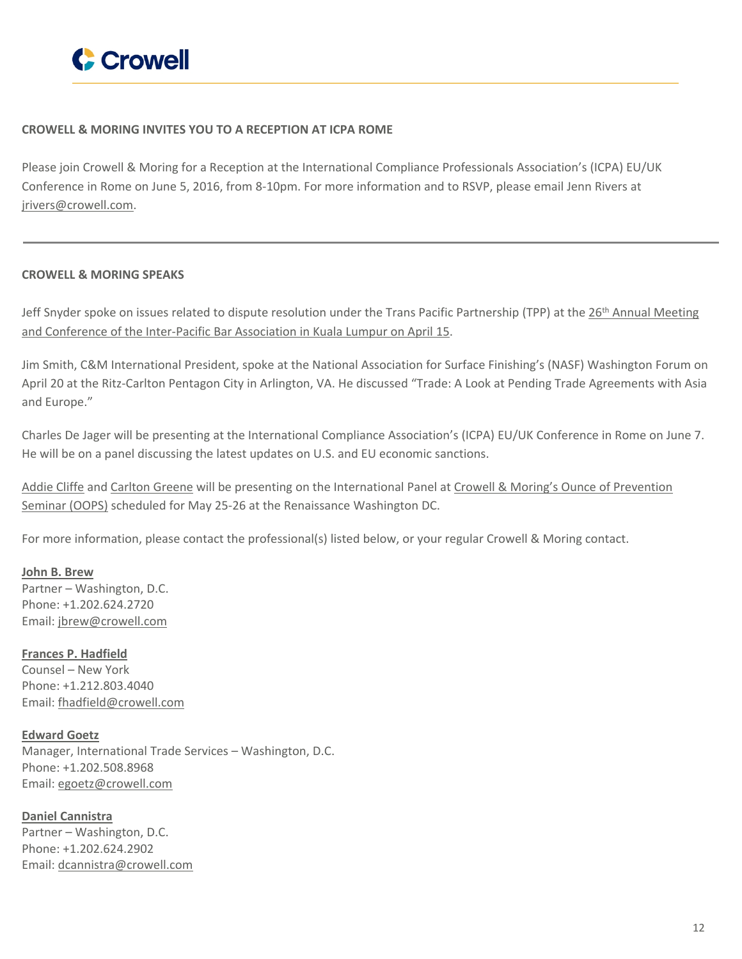<span id="page-11-0"></span>

#### **CROWELL & MORING INVITES YOU TO A RECEPTION AT ICPA ROME**

Please join Crowell & Moring for a Reception at the International Compliance Professionals Association's (ICPA) EU/UK Conference in Rome on June 5, 2016, from 8-10pm. For more information and to RSVP, please email Jenn Rivers at [jrivers@crowell.com.](mailto:jrivers@crowell.com)

#### **CROWELL & MORING SPEAKS**

Jeff Snyder spoke on issues related to dispute resolution under the Trans Pacific Partnership (TPP) at the 26<sup>th</sup> Annual [Meeting](http://www.ipba2016.com/) and Conference of the [Inter-Pacific](http://www.ipba2016.com/) Bar Association in Kuala Lumpur on April 15.

Jim Smith, C&M International President, spoke at the National Association for Surface Finishing's (NASF) Washington Forum on April 20 at the Ritz-Carlton Pentagon City in Arlington, VA. He discussed "Trade: A Look at Pending Trade Agreements with Asia and Europe."

Charles De Jager will be presenting at the International Compliance Association's (ICPA) EU/UK Conference in Rome on June 7. He will be on a panel discussing the latest updates on U.S. and EU economic sanctions.

[Addie](https://www.crowell.com/professionals/Adelicia-Cliffe) Cliffe and Carlton [Greene](https://www.crowell.com/professionals/Carlton-Greene) will be presenting on the International Panel at Crowell & Moring's Ounce of [Prevention](https://www.crowell.com/NewsEvents/Events/OOPS-Ounce-of-Prevention-Seminar-2016) [Seminar](https://www.crowell.com/NewsEvents/Events/OOPS-Ounce-of-Prevention-Seminar-2016) (OOPS) scheduled for May 25-26 at the Renaissance Washington DC.

For more information, please contact the professional(s) listed below, or your regular Crowell & Moring contact.

# **John B. [Brew](https://www.crowell.com/professionals/John-Brew)** Partner – Washington, D.C.

Phone: +1.202.624.2720 Email: [jbrew@crowell.com](mailto:jbrew@crowell.com)

# **Frances P. [Hadfield](https://www.crowell.com/professionals/Frances-Hadfield)** Counsel – New York Phone: +1.212.803.4040 Email: [fhadfield@crowell.com](mailto:fhadfield@crowell.com)

**[Edward](https://www.crowell.com/professionals/Edward-Goetz) Goetz** Manager, International Trade Services – Washington, D.C. Phone: +1.202.508.8968 Email: [egoetz@crowell.com](mailto:egoetz@crowell.com)

**Daniel [Cannistra](https://www.crowell.com/professionals/Daniel-Cannistra)** Partner – Washington, D.C. Phone: +1.202.624.2902 Email: [dcannistra@crowell.com](mailto:dcannistra@crowell.com)